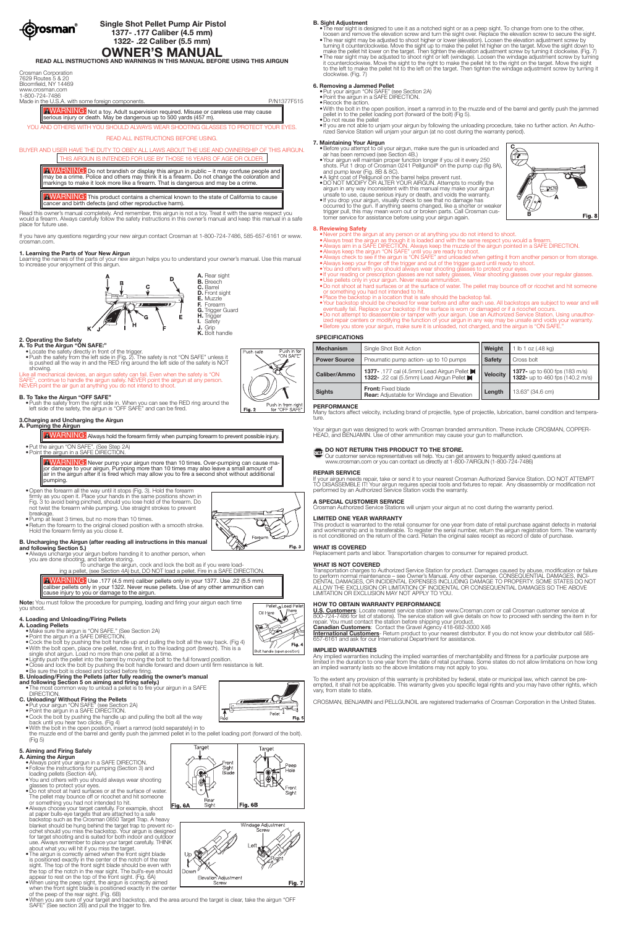

# **Single Shot Pellet Pump Air Pistol 1377- .177 Caliber (4.5 mm) 1322- .22 Caliber (5.5 mm)**

**OWNER'S MANUAL READ ALL INSTRUCTIONS AND WARNINGS IN THIS MANUAL BEFORE USING THIS AIRGUN**

| Crosman Corporation  |
|----------------------|
| 7629 Routes 5 & 20   |
| Bloomfield, NY 14469 |
| www.crosman.com      |
| 1-800-724-7486       |

Made in the U.S.A. with some foreign components. The example of the example of the P/N1377F515

AWARNING: Not a toy. Adult supervision required. Misuse or careless use may cause serious injury or death. May be dangerous up to 500 yards (457 m).

AWARNING: Do not brandish or display this airgun in public – it may confuse people and may be a crime. Police and others may think it is a firearm. Do not change the coloration and markings to make it look more like a firearm. That is dangerous and may be a crime.

YOU AND OTHERS WITH YOU SHOULD ALWAYS WEAR SHOOTING GLASSES TO PROTECT YOUR EYES.

AWARNING: This product contains a chemical known to the state of California to cause cancer and birth defects (and other reproductive harm).

READ ALL INSTRUCTIONS BEFORE USING.

# BUYER AND USER HAVE THE DUTY TO OBEY ALL LAWS ABOUT THE USE AND OWNERSHIP OF THIS AIRGUN. THIS AIRGUN IS INTENDED FOR USE BY THOSE 16 YEARS OF AGE OR OLDER.

Like all mechanical devices, an airgun safety can fail. Even when the safety is "ON SAFE", continue to handle the airgun safely. NEVER point the airgun at any person. NEVER point the air gun at anything you do not intend to shoot.

Read this owner's manual completely. And remember, this airgun is not a toy. Treat it with the same respect you would a firearm. Always carefully follow the safety instructions in this owner's manual and keep this manual in a safe place for future use.

If you have any questions regarding your new airgun contact Crosman at 1-800-724-7486, 585-657-6161 or www. crosman.com.

AWARNING: Never pump your airgun more than 10 times. Over-pumping can cause ma-<br>jor damage to your airgun. Pumping more than 10 times may also leave a small amount of air in the airgun after it is fired which may allow you to fire a second shot without additional pumping.

# **1. Learning the Parts of Your New Airgun**

Learning the names of the parts of your new airgun helps you to understand your owner's manual. Use this manual to increase your enjoyment of this airgun.



# **2. Operating the Safety**

- **A. To Put the Airgun "ON SAFE:"** •Locate the safety directly in front of the trigger.
- •Push the safety from the left side in (Fig. 2). The safety is not "ON SAFE" unless it is pushed all the way in and the RED ring around the left side of the safety is NOT showing.

AWARNING: Use .177 (4.5 mm) caliber pellets only in your 1377. Use .22 (5.5 mm) caliber pellets only in your 1322. Never reuse pellets. Use of any other ammunition can cause injury to you or damage to the airgun.

# **B. To Take the Airgun "OFF SAFE"**

•Push the safety from the right side in. When you can see the RED ring around the left side of the safety, the airgun is "OFF SAFE" and can be fired.

# **3.Charging and Uncharging the Airgun**

**A. Pumping the Airgun**

AWARNING: Always hold the forearm firmly when pumping forearm to prevent possible injury.

### •Put the airgun "ON SAFE". (See Step 2A) •Point the airgun in a SAFE DIRECTION.

- •Open the forearm all the way until it stops (Fig. 3). Hold the forearm
- firmly as you open it. Place your hands in the same positions shown in Fig. 3 to avoid being pinched, should you lose hold of the forearm. Do
- not twist the forearm while pumping. Use straight strokes to prevent breakage.
- •Pump at least 3 times, but no more than 10 times.
- •Return the forearm to the original closed position with a smooth stroke. Hold the forearm firmly as you close it.
- **B. Uncharging the Airgun (after reading all instructions in this manual and following Section 5.)**
- •Always uncharge your airgun before handing it to another person, when you are done shooting, and before storing.
	- To uncharge the airgun, cock and lock the bolt as if you were loading a pellet, (see Section 4A) but, DO NOT load a pellet. Fire in a SAFE DIRECTION.

**Note:** You must follow the procedure for pumping, loading and firing your airgun each time you shoot.

# **4. Loading and Unloading/Firing Pellets**

- **A. Loading Pellets** •Make sure the airgun is "ON SAFE." (See Section 2A)
	- •Point the airgun in a SAFE DIRECTION. •Cock the bolt by pushing the bolt handle up and pulling the bolt all the way back. (Fig 4)
- 
- •With the bolt open, place one pellet, nose first, in to the loading port (breech). This is a single shot airgun. Load no more than one pellet at a time.
- •Lightly push the pellet into the barrel by moving the bolt to the full forward position.
- •Close and lock the bolt by pushing the bolt handle forward and down until firm resistance is felt.
- •Be sure the bolt is closed and locked before firing.

### **B. Unloading/Firing the Pellets (after fully reading the owner's manual and following Section 5 on aiming and firing safely.)**

- •The most common way to unload a pellet is to fire your airgun in a SAFE DIRECTION.
- **C. Unloading/ Without Firing the Pellets**
	- •Put your airgun "ON SAFE" (see Section 2A)
	- •Point the airgun in a SAFE DIRECTION.
	- •Cock the bolt by pushing the handle up and pulling the bolt all the way back until you hear two clicks. (Fig 4)
	- •With the bolt in the open position, insert a ramrod (sold separately) in to the muzzle end of the barrel and gently push the jammed pellet in to the pellet loading port (forward of the bolt). (Fig 5)

Target

# **5. Aiming and Firing Safely**

# **A. Aiming the Airgun**

Many factors affect velocity, including brand of projectile, type of projectile, lubrication, barrel condition and temperature

Your airgun gun was designed to work with Crosman branded ammunition. These include CROSMAN, COPPER-HEAD, and BENJAMIN. Use of other ammunition may cause your gun to malfunction.

# **TOP DO NOT RETURN THIS PRODUCT TO THE STORE.**

- •Always point your airgun in a SAFE DIRECTION.
- •Follow the instructions for pumping (Section 3) and loading pellets (Section 4A).
- •You and others with you should always wear shooting glasses to protect your eyes.
- •Do not shoot at hard surfaces or at the surface of water. The pellet may bounce off or ricochet and hit someone or something you had not intended to hit.
- •Always choose your target carefully. For example, shoot at paper bulls-eye targets that are attached to a safe backstop such as the Crosman 0850 Target Trap. A heavy blanket should be hung behind the target trap to prevent ricochet should you miss the backstop. Your airgun is designed for target shooting and is suited for both indoor and outdoor use. Always remember to place your target carefully. THINK about what you will hit if you miss the target.
- The airgun is correctly aimed when the front sight blade is positioned exactly in the center of the notch of the rear sight. The top of the front sight blade should be even with the top of the notch in the rear sight. The bull's-eye should appear to rest on the top of the front sight. (Fig. 6A)
- •When using the peep sight, the airgun is correctly aimed when the front sight blade is positioned exactly in the center of the peep of the rear sight. (Fig. 6B)
- •When you are sure of your target and backstop, and the area around the target is clear, take the airgun "OFF SAFE" (See section 2B) and pull the trigger to fire.

Jowr

Elevation Adjustment Screw

U.S. Customers: Locate nearest service station (see www.Crosman.com or call Crosman customer service at<br>800-724-7486 for list of stations). The service station will give details on how to proceed with sending the item in f repair. You must contact the station before shipping your product.

### **B. Sight Adjustment**

- •The rear sight is designed to use it as a notched sight or as a peep sight. To change from one to the other, loosen and remove the elevation screw and turn the sight over. Replace the elevation screw to secure the sight.
- •The rear sight may be adjusted to shoot higher or lower (elevation). Loosen the elevation adjustment screw by turning it counterclockwise. Move the sight up to make the pellet hit higher on the target. Move the sight down to make the pellet hit lower on the target. Then tighten the elevation adjustment screw by turning it clockwise. (Fig. 7)
- •The rear sight may be adjusted to shoot right or left (windage). Loosen the windage adjustment screw by turning it counterclockwise. Move the sight to the right to make the pellet hit to the right on the target. Move the sight to the left to make the pellet hit to the left on the target. Then tighten the windage adjustment screw by turning it clockwise. (Fig. 7)

# **6. Removing a Jammed Pellet**

•Put your airgun "ON SAFE" (see Section 2A)

•Point the airgun in a SAFE DIRECTION. •Recock the action.

•With the bolt in the open position, insert a ramrod in to the muzzle end of the barrel and gently push the jammed pellet in to the pellet loading port (forward of the bolt) (Fig 5).

•Do not reuse the pellet •If you are not able to unjam your airgun by following the unloading procedure, take no further action. An Authorized Service Station will unjam your airgun (at no cost during the warranty period).

# **7. Maintaining Your Airgun**

- •Before you attempt to oil your airgun, make sure the gun is unloaded and air has been removed (see Section 4B.)
- •Your airgun will maintain proper function longer if you oil it every 250 shots. Put 1 drop of Crosman 0241 Pellgunoil® on the pump cup (fig 8A), and pump lever (Fig. 8B & 8C).
- •A light coat of Pellgunoil on the barrel helps prevent rust.
- •DO NOT MODIFY OR ALTER YOUR AIRGUN. Attempts to modify the airgun in any way inconsistent with this manual may make your airgun unsafe to use, cause serious injury or death, and voids the warranty. •If you drop your airgun, visually check to see that no damage has occurred to the gun. If anything seems changed, like a shorter or weaker trigger pull, this may mean worn out or broken parts. Call Crosman customer service for assistance before using your airgun again.



# **8. Reviewing Safety**

- •Never point the airgun at any person or at anything you do not intend to shoot.
- •Always treat the airgun as though it is loaded and with the same respect you would a firearm. •Always aim in a SAFE DIRECTION. Always keep the muzzle of the airgun pointed in a SAFE DIRECTION.
- •Always keep the airgun "ON SAFE" until you are ready to shoot.

•Always check to see if the airgun is "ON SAFE" and unloaded when getting it from another person or from storage. •Always keep your finger off the trigger and out of the trigger guard until ready to shoot.

- •You and others with you should always wear shooting glasses to protect your eyes.
- •If your reading or prescription glasses are not safety glasses, Wear shooting glasses over your regular glasses. •Use pellets only in your airgun. Never reuse ammunition.
- •Do not shoot at hard surfaces or at the surface of water. The pellet may bounce off or ricochet and hit someone or something you had not intended to hit.
- •Place the backstop in a location that is safe should the backstop fail.
- •Your backstop should be checked for wear before and after each use. All backstops are subject to wear and will eventually fail. Replace your backstop if the surface is worn or damaged or if a ricochet occurs. •Do not attempt to disassemble or tamper with your airgun. Use an Authorized Service Station. Using unauthor-
- ized repair centers or modifying the function of your airgun in any way may be unsafe and voids your warranty. •Before you store your airgun, make sure it is unloaded, not charged, and the airgun is "ON SAFE."

# **SPECIFICATIONS**

| <b>Mechanism</b>    | Single Shot Bolt Action                                                                | Weight          | 1 lb 1 oz $(.48 \text{ kg})$                                                   |  |  |
|---------------------|----------------------------------------------------------------------------------------|-----------------|--------------------------------------------------------------------------------|--|--|
| <b>Power Source</b> | Pneumatic pump action- up to 10 pumps                                                  | <b>Safety</b>   | Cross bolt                                                                     |  |  |
| Caliber/Ammo        | 1377 - .177 cal (4.5mm) Lead Airgun Pellet<br>1322- .22 cal (5.5mm) Lead Airgun Pellet | <b>Velocity</b> | <b>1377-</b> up to 600 fps (183 m/s)<br><b>1322-</b> up to 460 fps (140.2 m/s) |  |  |
| <b>Sights</b>       | <b>Front:</b> Fixed blade<br><b>Rear:</b> Adjustable for Windage and Elevation         | Length          | 13.63" (34.6 cm)                                                               |  |  |

# **PERFORMANCE**

 Our customer service representatives will help. You can get answers to frequently asked questions at www.crosman.com or you can contact us directly at 1-800-7AIRGUN (1-800-724-7486)

# **REPAIR SERVICE**

If your airgun needs repair, take or send it to your nearest Crosman Authorized Service Station. DO NOT ATTEMPT TO DISASSEMBLE IT! Your airgun requires special tools and fixtures to repair. Any disassembly or modification not performed by an Authorized Service Station voids the warranty.

# **A SPECIAL CUSTOMER SERVICE**

Crosman Authorized Service Stations will unjam your airgun at no cost during the warranty period.

# **LIMITED ONE YEAR WARRANTY**

This product is warranted to the retail consumer for one year from date of retail purchase against defects in material and workmanship and is transferable. To register the serial number, return the airgun registration form. The warranty is not conditioned on the return of the card. Retain the original sales receipt as record of date of purchase.

# **WHAT IS COVERED**

Replacement parts and labor. Transportation charges to consumer for repaired product.

# **WHAT IS NOT COVERED**

Transportation charges to Authorized Service Station for product. Damages caused by abuse, modification or failure to perform normal maintenance – see Owner's Manual. Any other expense. CONSEQUENTIAL DAMAGES, INCI-DENTAL DAMAGES, OR INCIDENTAL EXPENSES INCLUDING DAMAGE TO PROPERTY. SOME STATES DO NOT ALLOW THE EXCLUSION OR LIMITATION OF INCIDENTAL OR CONSEQUENTIAL DAMAGES SO THE ABOVE LIMITATION OR EXCLUSION MAY NOT APPLY TO YOU.

# **HOW TO OBTAIN WARRANTY PERFORMANCE**

**Canadian Customers**: Contact the Gravel Agency 418-682-3000 X46 **International Customers**- Return product to your nearest distributor. If you do not know your distributor call 585- 657-6161 and ask for our International Department for assistance.



Forearm

Fig. 3

<sup>P</sup>ellet<sub>ra</sub> Load Pe

 $\mathbb{I}/\mathbb{I}$ 

Bolt handle (open position)

Fig.

Fig. 7

Oil Here





Any implied warranties including the implied warranties of merchantability and fitness for a particular purpose are limited in the duration to one year from the date of retail purchase. Some states do not allow limitations on how long an implied warranty lasts so the above limitations may not apply to you.

To the extent any provision of this warranty is prohibited by federal, state or municipal law, which cannot be preempted, it shall not be applicable. This warranty gives you specific legal rights and you may have other rights, which vary, from state to state.

CROSMAN, BENJAMIN and PELLGUNOIL are registered trademarks of Crosman Corporation in the United States.





Target